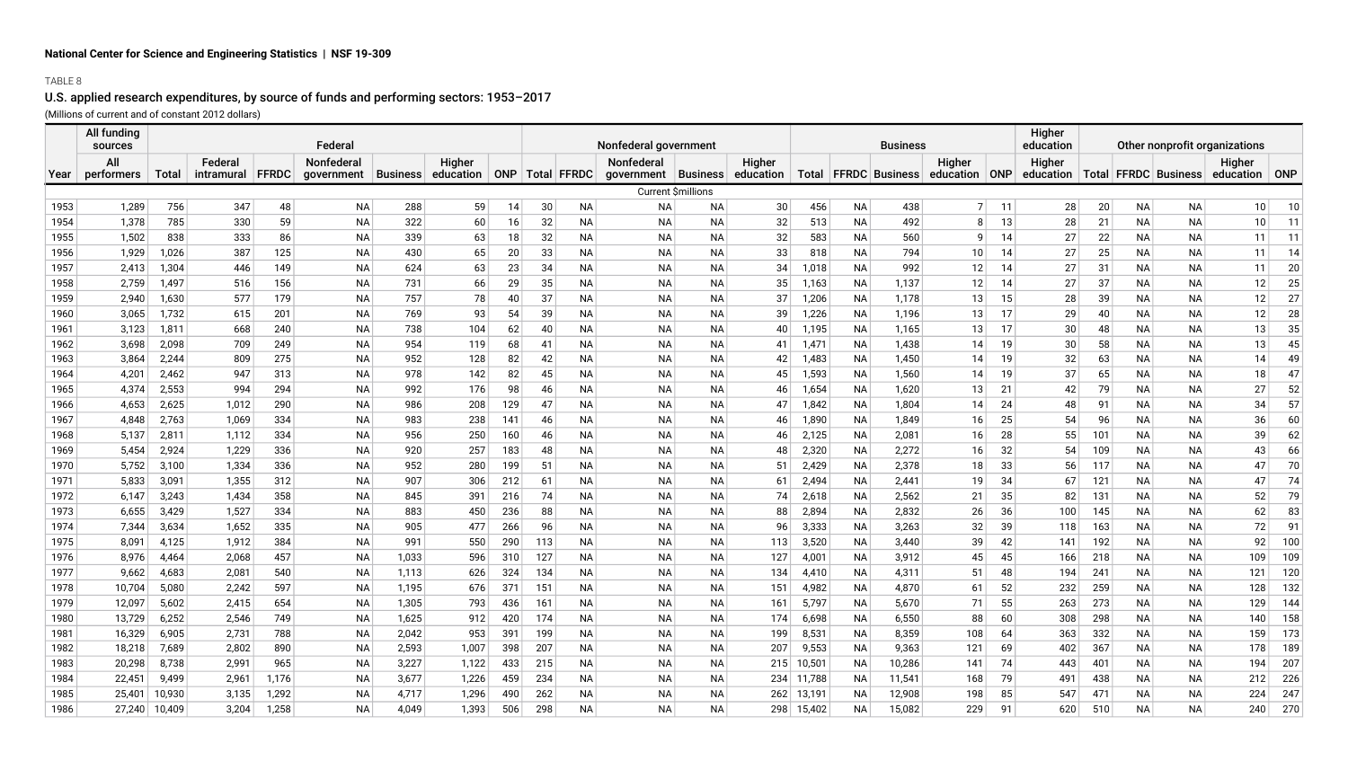## TABLE 8

# U.S. applied research expenditures, by source of funds and performing sectors: 1953–2017

(Millions of current and of constant 2012 dollars)

|      | All funding<br>sources |        |            |       | Federal    |                 |           |     |     |                     | Nonfederal government |           |                 |            |           | <b>Business</b>          |                |    | Higher<br>education | Other nonprofit organizations |           |                          |                         |     |
|------|------------------------|--------|------------|-------|------------|-----------------|-----------|-----|-----|---------------------|-----------------------|-----------|-----------------|------------|-----------|--------------------------|----------------|----|---------------------|-------------------------------|-----------|--------------------------|-------------------------|-----|
|      | Αll                    |        | Federal    |       | Nonfederal |                 | Higher    |     |     |                     | Nonfederal            |           | Higher          |            |           | Higher                   |                |    | Higher              |                               |           |                          |                         |     |
| Year | performers             | Total  | intramural | FFRDC | qovernment | <b>Business</b> | education |     |     | ONP   Total   FFRDC | government            | Business  | education       |            |           | Total   FFRDC   Business | education ONP  |    | education           |                               |           | Total   FFRDC   Business | Higher<br>education ONP |     |
|      |                        |        |            |       |            |                 |           |     |     |                     | Current \$millions    |           |                 |            |           |                          |                |    |                     |                               |           |                          |                         |     |
| 1953 | 1,289                  | 756    | 347        | 48    | NA         | 288             | 59        | 14  | 30  | NA                  | NА                    | ΝA        | 30 <sup>°</sup> | 456        | NA        | 438                      | $\overline{7}$ | 11 | 28                  | 20                            | <b>NA</b> | <b>NA</b>                | 10 <sup>1</sup>         | 10  |
| 1954 | 1,378                  | 785    | 330        | 59    | <b>NA</b>  | 322             | 60        | 16  | 32  | NA                  | <b>NA</b>             | <b>NA</b> | 32              | 513        | <b>NA</b> | 492                      | 8              | 13 | 28                  | 21                            | NA        | <b>NA</b>                | 10                      | 11  |
| 1955 | 1,502                  | 838    | 333        | 86    | <b>NA</b>  | 339             | 63        | 18  | 32  | ΝA                  | <b>NA</b>             | ΝA        | 32              | 583        | ΝA        | 560                      | 9              | 14 | 27                  | 22                            | NA        | <b>NA</b>                | 11                      | 11  |
| 1956 | 1,929                  | 1,026  | 387        | 125   | <b>NA</b>  | 430             | 65        | 20  | 33  | ΝA                  | <b>NA</b>             | ΝA        | 33              | 818        | NA        | 794                      | 10             | 14 | 27                  | 25                            | ΝA        | NA                       | 11                      | 14  |
| 1957 | 2,413                  | 1,304  | 446        | 149   | <b>NA</b>  | 624             | 63        | 23  | 34  | ΝA                  | <b>NA</b>             | ΝA        | 34              | 1,018      | NA        | 992                      | 12             | 14 | 27                  | 31                            | <b>NA</b> | <b>NA</b>                | 11                      | 20  |
| 1958 | 2,759                  | 1,497  | 516        | 156   | <b>NA</b>  | 731             | 66        | 29  | 35  | <b>NA</b>           | <b>NA</b>             | <b>NA</b> | 35              | 1,163      | <b>NA</b> | 1,137                    | 12             | 14 | 27                  | 37                            | <b>NA</b> | <b>NA</b>                | 12                      | 25  |
| 1959 | 2,940                  | 1,630  | 577        | 179   | <b>NA</b>  | 757             | 78        | 40  | 37  | <b>NA</b>           | <b>NA</b>             | <b>NA</b> | 37              | 1,206      | <b>NA</b> | 1,178                    | 13             | 15 | 28                  | 39                            | NA        | <b>NA</b>                | 12                      | 27  |
| 1960 | 3,065                  | 1,732  | 615        | 201   | <b>NA</b>  | 769             | 93        | 54  | 39  | <b>NA</b>           | <b>NA</b>             | NA        | 39              | 1,226      | <b>NA</b> | 1,196                    | 13             | 17 | 29                  | 40                            | NA        | <b>NA</b>                | 12                      | 28  |
| 1961 | 3,123                  | 1,811  | 668        | 240   | <b>NA</b>  | 738             | 104       | 62  | 40  | ΝA                  | <b>NA</b>             | NA        | 40              | 1,195      | NA        | 1,165                    | 13             | 17 | 30                  | 48                            | ΝA        | <b>NA</b>                | 13                      | 35  |
| 1962 | 3,698                  | 2,098  | 709        | 249   | NА         | 954             | 119       | 68  | 41  | ΝA                  | NА                    | ΝA        | 41              | 1,471      | NA        | 1,438                    | 14             | 19 | 30                  | 58                            | ΝA        | NA                       | 13                      | 45  |
| 1963 | 3,864                  | 2,244  | 809        | 275   | <b>NA</b>  | 952             | 128       | 82  | 42  | ΝA                  | <b>NA</b>             | ΝA        | 42              | 1,483      | ΝA        | 1,450                    | 14             | 19 | 32                  | 63                            | ΝA        | NА                       | 14                      | 49  |
| 1964 | 4,201                  | 2,462  | 947        | 313   | <b>NA</b>  | 978             | 142       | 82  | 45  | ΝA                  | <b>NA</b>             | ΝA        | 45              | 1,593      | <b>NA</b> | 1,560                    | 14             | 19 | 37                  | 65                            | ΝA        | <b>NA</b>                | 18                      | 47  |
| 1965 | 4,374                  | 2,553  | 994        | 294   | <b>NA</b>  | 992             | 176       | 98  | 46  | <b>NA</b>           | <b>NA</b>             | <b>NA</b> | 46              | 1,654      | <b>NA</b> | 1,620                    | 13             | 21 | 42                  | 79                            | NA.       | <b>NA</b>                | 27                      | 52  |
| 1966 | 4,653                  | 2,625  | 1,012      | 290   | <b>NA</b>  | 986             | 208       | 129 | 47  | <b>NA</b>           | <b>NA</b>             | <b>NA</b> | 47              | 1,842      | <b>NA</b> | 1,804                    | 14             | 24 | 48                  | 91                            | NA        | <b>NA</b>                | 34                      | 57  |
| 1967 | 4,848                  | 2,763  | 1,069      | 334   | <b>NA</b>  | 983             | 238       | 141 | 46  | NA                  | <b>NA</b>             | <b>NA</b> | 46              | 1,890      | <b>NA</b> | 1,849                    | 16             | 25 | 54                  | 96                            | NA        | <b>NA</b>                | 36                      | 60  |
| 1968 | 5,137                  | 2,811  | 1,112      | 334   | <b>NA</b>  | 956             | 250       | 160 | 46  | <b>NA</b>           | <b>NA</b>             | <b>NA</b> | 46              | 2,125      | <b>NA</b> | 2,081                    | 16             | 28 | 55                  | 101                           | NA        | <b>NA</b>                | 39                      | 62  |
| 1969 | 5,454                  | 2,924  | 1,229      | 336   | <b>NA</b>  | 920             | 257       | 183 | 48  | ΝA                  | NА                    | ΝA        | 48              | 2,320      | <b>NA</b> | 2,272                    | 16             | 32 | 54                  | 109                           | ΝA        | <b>NA</b>                | 43                      | 66  |
| 1970 | 5,752                  | 3,100  | 1,334      | 336   | <b>NA</b>  | 952             | 280       | 199 | 51  | NA                  | <b>NA</b>             | NA        | 51              | 2,429      | <b>NA</b> | 2,378                    | 18             | 33 | 56                  | 117                           | NA        | <b>NA</b>                | 47                      | 70  |
| 1971 | 5,833                  | 3,091  | 1,355      | 312   | <b>NA</b>  | 907             | 306       | 212 | 61  | ΝA                  | <b>NA</b>             | <b>NA</b> | 61              | 2,494      | <b>NA</b> | 2,441                    | 19             | 34 | 67                  | 121                           | ΝA        | <b>NA</b>                | 47                      | 74  |
| 1972 | 6,147                  | 3,243  | 1,434      | 358   | <b>NA</b>  | 845             | 391       | 216 | 74  | ΝA                  | <b>NA</b>             | <b>NA</b> | 74              | 2,618      | NA        | 2,562                    | 21             | 35 | 82                  | 131                           | ΝA        | NA                       | 52                      | 79  |
| 1973 | 6,655                  | 3,429  | 1,527      | 334   | <b>NA</b>  | 883             | 450       | 236 | 88  | <b>NA</b>           | <b>NA</b>             | <b>NA</b> | 88              | 2,894      | <b>NA</b> | 2,832                    | 26             | 36 | 100                 | 145                           | NA        | <b>NA</b>                | 62                      | 83  |
| 1974 | 7,344                  | 3,634  | 1,652      | 335   | <b>NA</b>  | 905             | 477       | 266 | 96  | NA                  | <b>NA</b>             | <b>NA</b> | 96              | 3,333      | <b>NA</b> | 3,263                    | 32             | 39 | 118                 | 163                           | NA        | <b>NA</b>                | 72                      | 91  |
| 1975 | 8,091                  | 4,125  | 1,912      | 384   | <b>NA</b>  | 991             | 550       | 290 | 113 | <b>NA</b>           | <b>NA</b>             | <b>NA</b> | 113             | 3,520      | <b>NA</b> | 3,440                    | 39             | 42 | 141                 | 192                           | NA        | <b>NA</b>                | 92                      | 100 |
| 1976 | 8,976                  | 4,464  | 2,068      | 457   | <b>NA</b>  | 1,033           | 596       | 310 | 127 | ΝA                  | <b>NA</b>             | NA        | 127             | 4,001      | ΝA        | 3,912                    | 45             | 45 | 166                 | 218                           | ΝA        | <b>NA</b>                | 109                     | 109 |
| 1977 | 9,662                  | 4,683  | 2,081      | 540   | <b>NA</b>  | 1,113           | 626       | 324 | 134 | <b>NA</b>           | <b>NA</b>             | <b>NA</b> | 134             | 4,410      | <b>NA</b> | 4,311                    | 51             | 48 | 194                 | 241                           | ΝA        | <b>NA</b>                | 121                     | 120 |
| 1978 | 10,704                 | 5,080  | 2,242      | 597   | <b>NA</b>  | 1,195           | 676       | 371 | 151 | ΝA                  | <b>NA</b>             | NA        | 151             | 4,982      | <b>NA</b> | 4,870                    | 61             | 52 | 232                 | 259                           | ΝA        | <b>NA</b>                | 128                     | 132 |
| 1979 | 12,097                 | 5,602  | 2,415      | 654   | <b>NA</b>  | 1,305           | 793       | 436 | 161 | ΝA                  | <b>NA</b>             | NA        | 161             | 5,797      | <b>NA</b> | 5,670                    | 71             | 55 | 263                 | 273                           | NA        | <b>NA</b>                | 129                     | 144 |
| 1980 | 13,729                 | 6,252  | 2,546      | 749   | <b>NA</b>  | 1,625           | 912       | 420 | 174 | NA                  | <b>NA</b>             | ΝA        | 174             | 6,698      | NA        | 6,550                    | 88             | 60 | 308                 | 298                           | <b>NA</b> | <b>NA</b>                | 140                     | 158 |
| 1981 | 16,329                 | 6,905  | 2,731      | 788   | <b>NA</b>  | 2,042           | 953       | 391 | 199 | NA                  | <b>NA</b>             | <b>NA</b> | 199             | 8,531      | <b>NA</b> | 8,359                    | 108            | 64 | 363                 | 332                           | <b>NA</b> | <b>NA</b>                | 159                     | 173 |
| 1982 | 18,218                 | 7,689  | 2,802      | 890   | <b>NA</b>  | 2,593           | 1,007     | 398 | 207 | NA                  | <b>NA</b>             | <b>NA</b> | 207             | 9,553      | <b>NA</b> | 9,363                    | 121            | 69 | 402                 | 367                           | <b>NA</b> | <b>NA</b>                | 178                     | 189 |
| 1983 | 20,298                 | 8,738  | 2,991      | 965   | <b>NA</b>  | 3,227           | 1,122     | 433 | 215 | NA                  | <b>NA</b>             | <b>NA</b> | 215             | 10,501     | <b>NA</b> | 10,286                   | 141            | 74 | 443                 | 401                           | NA        | <b>NA</b>                | 194                     | 207 |
| 1984 | 22,451                 | 9,499  | 2,961      | 1,176 | <b>NA</b>  | 3,677           | 1,226     | 459 | 234 | NA                  | <b>NA</b>             | ΝA        | 234             | 11,788     | NA        | 11,541                   | 168            | 79 | 491                 | 438                           | NA        | <b>NA</b>                | 212                     | 226 |
| 1985 | 25,401                 | 10,930 | 3,135      | 1,292 | <b>NA</b>  | 4,717           | 1,296     | 490 | 262 | ΝA                  | <b>NA</b>             | ΝA        | 262             | 13,191     | NA        | 12,908                   | 198            | 85 | 547                 | 471                           | ΝA        | NA                       | 224                     | 247 |
| 1986 | 27,240                 | 10,409 | 3,204      | 1,258 | <b>NA</b>  | 4,049           | 1,393     | 506 | 298 | <b>NA</b>           | <b>NA</b>             | <b>NA</b> |                 | 298 15,402 | <b>NA</b> | 15,082                   | 229            | 91 | 620                 | 510                           | NA        | <b>NA</b>                | 240                     | 270 |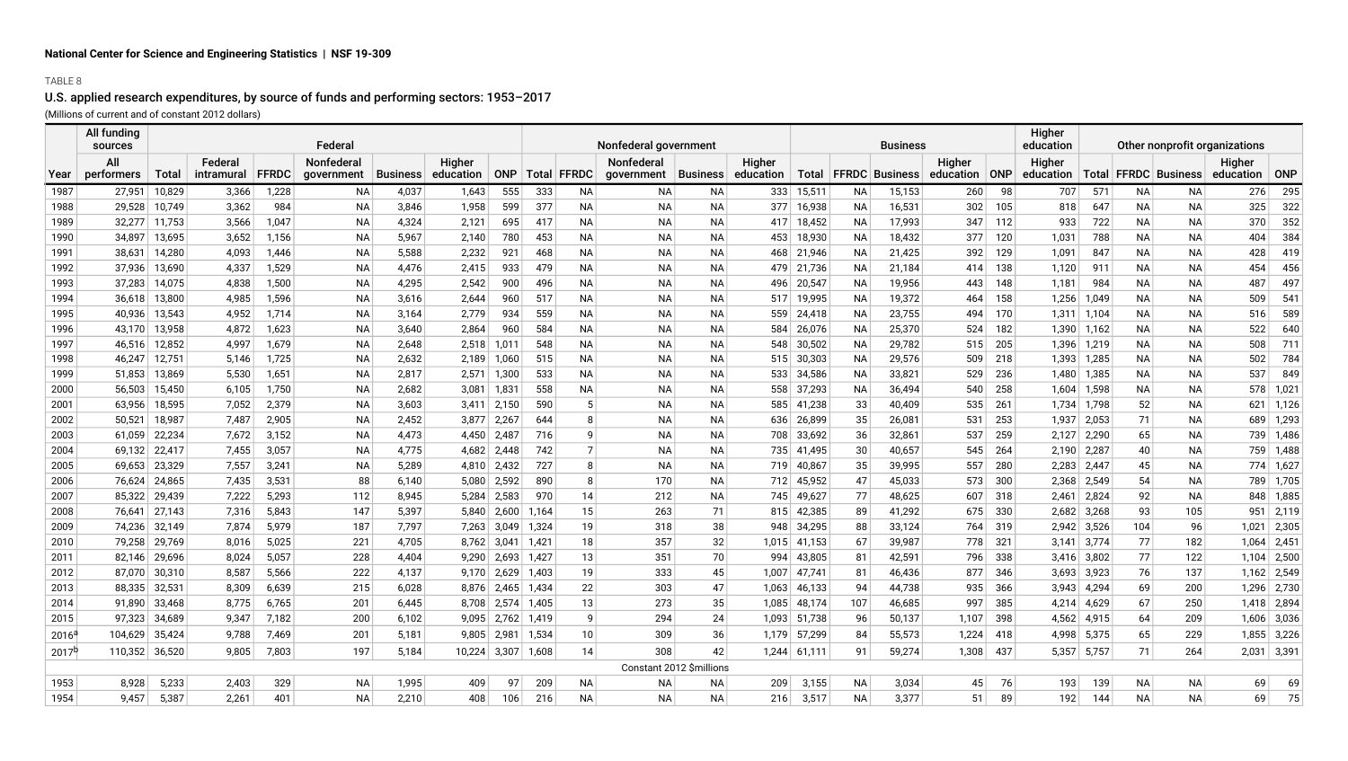## TABLE 8

## U.S. applied research expenditures, by source of funds and performing sectors: 1953–2017

(Millions of current and of constant 2012 dollars)

|            | All funding<br>sources |        |                       |              | Federal                  |                 |                     |                     |             | Nonfederal government               |                          |                     |                |           | Business                 |                         |     | Higher<br>education | Other nonprofit organizations |           |                       |                     |               |
|------------|------------------------|--------|-----------------------|--------------|--------------------------|-----------------|---------------------|---------------------|-------------|-------------------------------------|--------------------------|---------------------|----------------|-----------|--------------------------|-------------------------|-----|---------------------|-------------------------------|-----------|-----------------------|---------------------|---------------|
| Year       | All<br>performers      | Total  | Federal<br>intramural | <b>FFRDC</b> | Nonfederal<br>government | <b>Business</b> | Higher<br>education | ONP                 | Total FFRDC | Nonfederal<br>government   Business |                          | Higher<br>education |                |           | Total   FFRDC   Business | Higher<br>education ONP |     | Higher<br>education | Total                         |           | <b>FFRDC</b> Business | Higher<br>education | ONP           |
| 1987       | 27,951                 | 10,829 | 3,366                 | 1,228        | <b>NA</b>                | 4,037           | 1,643               | 555                 | 333         | <b>NA</b><br><b>NA</b>              | <b>NA</b>                | 333                 | 15,511         | <b>NA</b> | 15,153                   | 260                     | 98  | 707                 | 571                           | NA        | ΝA                    | 276                 | 295           |
| 1988       | 29,528                 | 10,749 | 3,362                 | 984          | <b>NA</b>                | 3,846           | 1,958               | 599                 | 377         | <b>NA</b><br><b>NA</b>              | <b>NA</b>                | 377                 | 16,938         | NA        | 16,531                   | 302                     | 105 | 818                 | 647                           | <b>NA</b> | <b>NA</b>             | 325                 | 322           |
| 1989       | 32,277                 | 11,753 | 3,566                 | 1,047        | <b>NA</b>                | 4,324           | 2,121               | 695                 | 417         | <b>NA</b><br><b>NA</b>              | <b>NA</b>                | 417                 | 18,452         | NA        | 17,993                   | 347                     | 112 | 933                 | 722                           | <b>NA</b> | <b>NA</b>             | 370                 | 352           |
| 1990       | 34,897                 | 13,695 | 3,652                 | 1,156        | <b>NA</b>                | 5,967           | 2,140               | 780                 | 453         | <b>NA</b><br><b>NA</b>              | <b>NA</b>                | 453                 | 18,930         | <b>NA</b> | 18,432                   | 377                     | 120 | 1,031               | 788                           | NA        | <b>NA</b>             | 404                 | 384           |
| 1991       | 38,631                 | 14,280 | 4,093                 | 1,446        | <b>NA</b>                | 5,588           | 2,232               | 921                 | 468         | <b>NA</b><br><b>NA</b>              | <b>NA</b>                | 468                 | 21,946         | <b>NA</b> | 21,425                   | 392                     | 129 | 1,091               | 847                           | NA        | <b>NA</b>             | 428                 | 419           |
| 1992       | 37,936                 | 13,690 | 4,337                 | 1,529        | <b>NA</b>                | 4,476           | 2,415               | 933                 | 479         | <b>NA</b><br><b>NA</b>              | <b>NA</b>                | 479                 | 21,736         | <b>NA</b> | 21,184                   | 414                     | 138 | 1,120               | 911                           | <b>NA</b> | <b>NA</b>             | 454                 | 456           |
| 1993       | 37,283                 | 14,075 | 4,838                 | 1,500        | <b>NA</b>                | 4,295           | 2,542               | 900                 | 496         | ΝA<br><b>NA</b>                     | <b>NA</b>                | 496                 | 20,547         | NA        | 19,956                   | 443                     | 148 | 1,181               | 984                           | <b>NA</b> | <b>NA</b>             | 487                 | 497           |
| 1994       | 36,618                 | 13,800 | 4,985                 | 1,596        | <b>NA</b>                | 3,616           | 2,644               | 960                 | 517         | <b>NA</b><br><b>NA</b>              | <b>NA</b>                | 517                 | 19,995         | NA        | 19,372                   | 464                     | 158 | 1,256               | 1,049                         | <b>NA</b> | <b>NA</b>             | 509                 | 541           |
| 1995       | 40,936                 | 13,543 | 4,952                 | 1,714        | <b>NA</b>                | 3,164           | 2,779               | 934                 | 559         | ΝA<br>ΝA                            | <b>NA</b>                | 559                 | 24,418         | <b>NA</b> | 23,755                   | 494                     | 170 |                     | $1,311$ 1,104                 | <b>NA</b> | ΝA                    | 516                 | 589           |
| 1996       | 43,170                 | 13,958 | 4,872                 | 1,623        | <b>NA</b>                | 3,640           | 2,864               | 960                 | 584         | <b>NA</b><br><b>NA</b>              | <b>NA</b>                | 584                 | 26,076         | NA        | 25,370                   | 524                     | 182 |                     | 1,390 1,162                   | NA        | ΝA                    | 522                 | 640           |
| 1997       | 46,516                 | 12,852 | 4,997                 | 1,679        | <b>NA</b>                | 2,648           | 2,518               | 1,011               | 548         | <b>NA</b><br><b>NA</b>              | <b>NA</b>                | 548                 | 30,502         | <b>NA</b> | 29,782                   | 515                     | 205 |                     | 1,396 1,219                   | <b>NA</b> | <b>NA</b>             | 508                 | 711           |
| 1998       | 46,247                 | 12,751 | 5,146                 | 1,725        | <b>NA</b>                | 2,632           | 2,189               | 1,060               | 515         | <b>NA</b><br><b>NA</b>              | NA                       |                     | $515$ 30,303   | NA        | 29,576                   | 509                     | 218 |                     | 1,393 1,285                   | <b>NA</b> | <b>NA</b>             | 502                 | 784           |
| 1999       | 51,853                 | 13,869 | 5,530                 | 1,651        | <b>NA</b>                | 2,817           | 2,571               | 1,300               | 533         | <b>NA</b><br><b>NA</b>              | <b>NA</b>                | 533                 | 34,586         | <b>NA</b> | 33,821                   | 529                     | 236 | 1,480               | 1,385                         | <b>NA</b> | <b>NA</b>             | 537                 | 849           |
| 2000       | 56,503                 | 15,450 | 6,105                 | 1,750        | <b>NA</b>                | 2,682           | 3,081               | 1,831               | 558         | <b>NA</b><br><b>NA</b>              | <b>NA</b>                | 558                 | 37,293         | <b>NA</b> | 36,494                   | 540                     | 258 |                     | $1,604$ 1,598                 | <b>NA</b> | NА                    | 578                 | 1,021         |
| 2001       | 63,956                 | 18,595 | 7,052                 | 2,379        | <b>NA</b>                | 3,603           | 3,411               | 2,150               | 590         | <b>NA</b><br>5                      | <b>NA</b>                | 585                 | 41,238         | 33        | 40,409                   | 535                     | 261 |                     | 1,734 1,798                   | 52        | <b>NA</b>             |                     | $621$ 1,126   |
| 2002       | 50,521                 | 18,987 | 7,487                 | 2,905        | <b>NA</b>                | 2,452           | 3,877               | 2,267               | 644         | 8<br><b>NA</b>                      | <b>NA</b>                | 636                 | 26,899         | 35        | 26,081                   | 531                     | 253 | 1,937               | 2,053                         | 71        | <b>NA</b>             | 689                 | 1,293         |
| 2003       | 61,059                 | 22,234 | 7,672                 | 3,152        | NA                       | 4,473           | 4,450               | 2,487               | 716         | 9<br><b>NA</b>                      | <b>NA</b>                | 708                 | 33,692         | 36        | 32,861                   | 537                     | 259 |                     | $2,127$ 2,290                 | 65        | NA.                   |                     | 739 1,486     |
| 2004       | 69,132                 | 22,417 | 7,455                 | 3,057        | <b>NA</b>                | 4,775           | 4,682               | 2,448               | 742         | $\overline{7}$<br><b>NA</b>         | <b>NA</b>                | 735                 | 41,495         | 30        | 40,657                   | 545                     | 264 | 2,190               | 2,287                         | 40        | NA.                   | 759                 | 1,488         |
| 2005       | 69,653                 | 23,329 | 7,557                 | 3,241        | <b>NA</b>                | 5,289           | 4,810               | 2,432               | 727         | <b>NA</b><br>8                      | <b>NA</b>                | 719                 | 40,867         | 35        | 39,995                   | 557                     | 280 | 2,283 2,447         |                               | 45        | NА                    |                     | 774 1,627     |
| 2006       | 76,624                 | 24,865 | 7,435                 | 3,531        | 88                       | 6,140           | 5,080               | 2,592               | 890         | 8<br>170                            | <b>NA</b>                | 712                 | 45,952         | 47        | 45,033                   | 573                     | 300 |                     | 2,368 2,549                   | 54        | <b>NA</b>             |                     | 789 1,705     |
| 2007       | 85,322                 | 29,439 | 7,222                 | 5,293        | 112                      | 8,945           | 5,284               | 2,583               | 970         | 14<br>212                           | <b>NA</b>                | 745                 | 49,627         | 77        | 48,625                   | 607                     | 318 | 2,461               | 2,824                         | 92        | <b>NA</b>             |                     | 848 1,885     |
| 2008       | 76,641                 | 27,143 | 7,316                 | 5,843        | 147                      | 5,397           |                     | $5,840$ 2,600       | 1,164       | 15<br>263                           | 71                       |                     | 815 42,385     | 89        | 41,292                   | 675                     | 330 |                     | $2,682$ 3,268                 | 93        | 105                   |                     | $951$ 2,119   |
| 2009       | 74,236                 | 32,149 | 7,874                 | 5,979        | 187                      | 7,797           |                     | 7,263 3,049         | 1,324       | 19<br>318                           | 38                       | 948                 | 34,295         | 88        | 33,124                   | 764                     | 319 |                     | 2,942 3,526                   | 104       | 96                    | 1,021               | $\vert$ 2,305 |
| 2010       | 79,258                 | 29,769 | 8,016                 | 5,025        | 221                      | 4,705           |                     | $8,762$ 3,041       | 1,421       | 357<br>18                           | 32                       |                     | $1,015$ 41,153 | 67        | 39,987                   | 778                     | 321 |                     | $3,141$ 3,774                 | 77        | 182                   |                     | $1,064$ 2,451 |
| 2011       | 82,146                 | 29,696 | 8,024                 | 5,057        | 228                      | 4,404           |                     | $9,290$ 2,693 1,427 |             | 351<br>13                           | 70                       | 994                 | 43,805         | 81        | 42,591                   | 796                     | 338 |                     | $3,416$ 3,802                 | 77        | 122                   |                     | $1,104$ 2,500 |
| 2012       | 87,070                 | 30,310 | 8,587                 | 5,566        | 222                      | 4,137           |                     | $9,170$ 2,629 1,403 |             | 333<br>19                           | 45                       | 1,007               | 47,741         | 81        | 46,436                   | 877                     | 346 |                     | $3,693$ 3,923                 | 76        | 137                   |                     | $1,162$ 2,549 |
| 2013       | 88,335                 | 32,531 | 8,309                 | 6,639        | 215                      | 6,028           |                     | 8,876 2,465 1,434   |             | 303<br>22                           | 47                       | 1,063               | 46,133         | 94        | 44,738                   | 935                     | 366 |                     | $3,943$ 4,294                 | 69        | 200                   |                     | 1,296 2,730   |
| 2014       | 91.890                 | 33,468 | 8,775                 | 6,765        | 201                      | 6,445           |                     | 8,708 2,574 1,405   |             | 273<br>13                           | 35                       | 1,085               | 48,174         | 107       | 46,685                   | 997                     | 385 |                     | 4,214 4,629                   | 67        | 250                   |                     | 1,418 2,894   |
| 2015       | 97,323                 | 34,689 | 9,347                 | 7,182        | 200                      | 6,102           |                     | $9,095$ 2,762 1,419 |             | 294<br>9                            | 24                       | 1,093               | 51,738         | 96        | 50,137                   | 1,107                   | 398 |                     | 4,562 4,915                   | 64        | 209                   |                     | $1,606$ 3,036 |
| $2016^6$   | 104,629                | 35,424 | 9,788                 | 7,469        | 201                      | 5,181           |                     | $9,805$ 2,981       | 1,534       | 309<br>10 <sup>1</sup>              | 36                       |                     | 1,179 57,299   | 84        | 55,573                   | 1,224                   | 418 |                     | 4,998 5,375                   | 65        | 229                   |                     | 1,855 3,226   |
| $2017^{b}$ | 110,352                | 36,520 | 9,805                 | 7,803        | 197                      | 5,184           | 10,224 3,307 1,608  |                     |             | 14<br>308                           | 42                       | 1,244               | 61,111         | 91        | 59,274                   | 1,308                   | 437 |                     | $5,357$ 5,757                 | 71        | 264                   |                     | $2,031$ 3,391 |
|            |                        |        |                       |              |                          |                 |                     |                     |             |                                     | Constant 2012 \$millions |                     |                |           |                          |                         |     |                     |                               |           |                       |                     |               |
| 1953       | 8,928                  | 5,233  | 2,403                 | 329          | <b>NA</b>                | 1,995           | 409                 | 97                  | 209         | ΝA<br>ΝA                            | ΝA                       | 209                 | 3,155          | <b>NA</b> | 3,034                    | 45                      | 76  | 193                 | 139                           | NA        | NА                    | 69                  | 69            |
| 1954       | 9,457                  | 5,387  | 2,261                 | 401          | <b>NA</b>                | 2,210           | 408                 | 106                 | 216         | <b>NA</b><br><b>NA</b>              | <b>NA</b>                | 216                 | 3,517          | <b>NA</b> | 3,377                    | 51                      | 89  | 192                 | 144                           | <b>NA</b> | <b>NA</b>             | 69                  | 75            |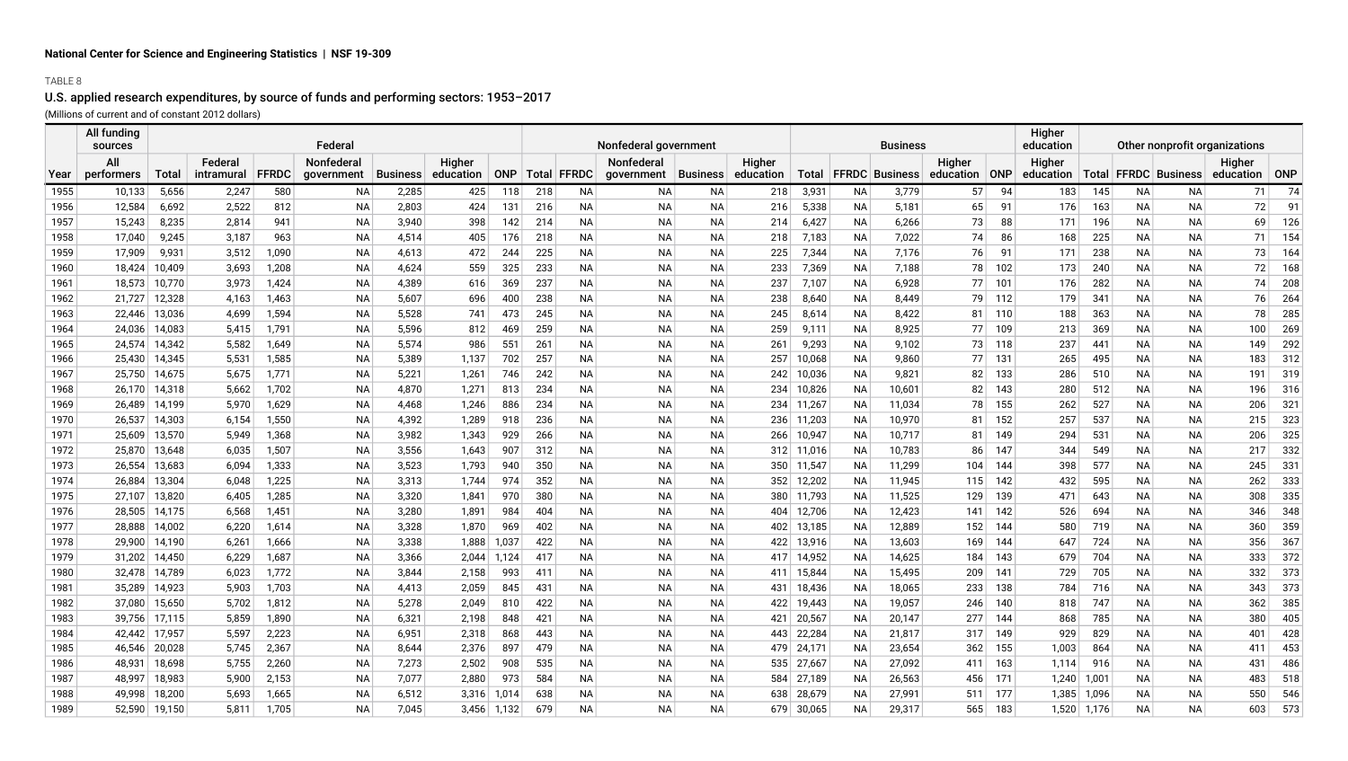## TABLE 8

## U.S. applied research expenditures, by source of funds and performing sectors: 1953–2017

(Millions of current and of constant 2012 dollars)

|              | All funding<br>sources |                                                                                                                             |                |                | Federal         |                |                |            |            |                        | Nonfederal government |                        |            |                  |                        | <b>Business</b>          |               |            | Higher<br>education | Other nonprofit organizations |                        |                          |            |            |
|--------------|------------------------|-----------------------------------------------------------------------------------------------------------------------------|----------------|----------------|-----------------|----------------|----------------|------------|------------|------------------------|-----------------------|------------------------|------------|------------------|------------------------|--------------------------|---------------|------------|---------------------|-------------------------------|------------------------|--------------------------|------------|------------|
|              | All                    | Nonfederal<br>Higher<br>Federal<br>Total<br><b>FFRDC</b><br>ONP<br>intramural<br><b>Business</b><br>education<br>government |                |                |                 |                |                |            |            |                        | Nonfederal            |                        | Higher     |                  |                        |                          | Higher        |            | Higher              |                               |                        |                          | Higher     |            |
| Year         | performers             |                                                                                                                             |                |                |                 |                |                |            |            | Total   FFRDC          | government            | Business               | education  |                  |                        | Total   FFRDC   Business | education ONP |            | education           |                               |                        | Total   FFRDC   Business | education  | ONP        |
| 1955         | 10,133                 | 5,656                                                                                                                       | 2,247          | 580            | NA              | 2,285          | 425            | 118        | 218        | ΝA                     | ΝA                    | ΝA                     | 218        | 3,931            | NA                     | 3,779                    | 57            | 94         | 183                 | 145                           | NА                     | NA                       | 71         | 74         |
| 1956         | 12,584                 | 6,692                                                                                                                       | 2,522          | 812            | NA              | 2,803          | 424            | 131        | 216        | NA                     | NA                    | NA                     | 216        | 5,338            | NA                     | 5,181                    | 65            | 91         | 176                 | 163                           | NA                     | <b>NA</b>                | 72         | 91         |
| 1957         | 15,243                 | 8,235                                                                                                                       | 2,814          | 941            | <b>NA</b>       | 3,940          | 398            | 142        | 214        | <b>NA</b>              | <b>NA</b>             | <b>NA</b>              | 214        | 6,427            | <b>NA</b>              | 6,266                    | 73            | 88         | 171                 | 196                           | <b>NA</b>              | <b>NA</b>                | 69         | 126        |
| 1958         | 17,040                 | 9,245                                                                                                                       | 3,187          | 963            | <b>NA</b>       | 4,514          | 405            | 176        | 218        | <b>NA</b>              | <b>NA</b>             | <b>NA</b>              | 218        | 7,183            | <b>NA</b>              | 7,022                    | 74            | 86         | 168                 | 225                           | <b>NA</b>              | <b>NA</b>                | 71         | 154        |
| 1959         | 17,909                 | 9,931                                                                                                                       | 3,512          | 1,090          | <b>NA</b>       | 4,613          | 472            | 244        | 225        | <b>NA</b>              | <b>NA</b>             | <b>NA</b>              | 225        | 7,344            | <b>NA</b>              | 7,176                    | 76            | 91         | 171                 | 238                           | <b>NA</b>              | NA                       | 73         | 164        |
| 1960         | 18,424                 | 10,409                                                                                                                      | 3,693          | 1,208          | <b>NA</b>       | 4,624          | 559            | 325        | 233        | <b>NA</b>              | <b>NA</b>             | <b>NA</b>              | 233        | 7,369            | <b>NA</b>              | 7,188                    | 78            | 102        | 173                 | 240                           | <b>NA</b>              | NA                       | 72         | 168        |
| 1961         | 18,573                 | 10,770                                                                                                                      | 3,973          | 1,424          | <b>NA</b>       | 4,389          | 616            | 369        | 237        | <b>NA</b>              | <b>NA</b>             | <b>NA</b>              | 237        | 7,107            | <b>NA</b>              | 6,928                    | 77            | 101        | 176                 | 282                           | <b>NA</b>              | NA.                      | 74         | 208        |
| 1962         | 21,727                 | 12,328                                                                                                                      | 4,163          | 1,463          | <b>NA</b>       | 5,607          | 696            | 400        | 238        | <b>NA</b>              | <b>NA</b>             | <b>NA</b>              | 238        | 8,640            | <b>NA</b>              | 8,449                    | 79            | 112        | 179                 | 341                           | <b>NA</b>              | <b>NA</b>                | 76         | 264        |
| 1963         | 22,446                 | 13,036                                                                                                                      | 4,699          | 1,594          | <b>NA</b>       | 5,528          | 741            | 473        | 245        | <b>NA</b>              | <b>NA</b>             | <b>NA</b>              | 245        | 8,614            | <b>NA</b>              | 8,422                    | 81            | 110        | 188                 | 363                           | <b>NA</b>              | NA                       | 78         | 285        |
| 1964         | 24,036                 | 14,083                                                                                                                      | 5,415          | 1,791          | NA              | 5,596          | 812            | 469        | 259        | NA.                    | ΝA                    | ΝA                     | 259        | 9,111            | NA                     | 8,925                    | 77            | 109        | 213                 | 369                           | <b>NA</b>              | NA                       | 100        | 269        |
| 1965         | 24,574                 | 14,342                                                                                                                      | 5,582          | 1,649          | NA              | 5,574          | 986            | 551        | 261        | NA.                    | <b>NA</b>             | <b>NA</b>              | 261        | 9,293            | NA                     | 9,102                    | 73            | 118        | 237                 | 441                           | <b>NA</b>              | NA                       | 149        | 292        |
| 1966         | 25,430                 | 14,345                                                                                                                      | 5,531          | 1,585          | NA              | 5,389          | 1,137          | 702        | 257        | NA.                    | <b>NA</b>             | <b>NA</b>              | 257        | 10,068           | NA                     | 9,860                    | 77            | 131        | 265                 | 495                           | <b>NA</b>              | NA                       | 183        | 312        |
| 1967         | 25,750                 | 14,675                                                                                                                      | 5,675          | 1,771          | <b>NA</b>       | 5,221          | 1,261          | 746        | 242        | <b>NA</b>              | <b>NA</b>             | <b>NA</b>              | 242        | 10,036           | <b>NA</b>              | 9,821                    | 82            | 133        | 286                 | 510                           | <b>NA</b>              | <b>NA</b>                | 191        | 319        |
| 1968         | 26,170                 | 14,318                                                                                                                      | 5,662          | 1,702          | <b>NA</b>       | 4,870          | 1,271          | 813        | 234        | <b>NA</b>              | <b>NA</b>             | <b>NA</b>              | 234        | 10,826           | <b>NA</b>              | 10,601                   | 82            | 143        | 280                 | 512                           | <b>NA</b>              | <b>NA</b>                | 196        | 316        |
| 1969         | 26,489                 | 14,199                                                                                                                      | 5,970          | 1,629<br>1,550 | <b>NA</b>       | 4,468          | 1,246          | 886        | 234        | <b>NA</b>              | <b>NA</b>             | <b>NA</b>              | 234        | 11,267           | <b>NA</b>              | 11,034                   | 78            | 155        | 262                 | 527                           | <b>NA</b>              | NA                       | 206        | 321        |
| 1970         | 26,537                 | 14,303<br>13,570                                                                                                            | 6,154          |                | NA<br><b>NA</b> | 4,392<br>3,982 | 1,289          | 918        | 236        | <b>NA</b><br><b>NA</b> | ΝA<br><b>NA</b>       | <b>NA</b><br><b>NA</b> | 236        | 11,203           | <b>NA</b>              | 10,970<br>10,717         | 81            | 152<br>149 | 257                 | 537                           | <b>NA</b><br><b>NA</b> | NA<br>NA.                | 215<br>206 | 323<br>325 |
| 1971         | 25,609<br>25,870       |                                                                                                                             | 5,949<br>6,035 | 1,368<br>1,507 | <b>NA</b>       | 3,556          | 1,343<br>1,643 | 929<br>907 | 266<br>312 | <b>NA</b>              | <b>NA</b>             | <b>NA</b>              | 266        | 10,947           | <b>NA</b><br><b>NA</b> | 10,783                   | 81<br>86      | 147        | 294<br>344          | 531<br>549                    | <b>NA</b>              | <b>NA</b>                | 217        | 332        |
| 1972<br>1973 | 26,554                 | 13,648<br>13,683                                                                                                            | 6,094          | 1,333          | <b>NA</b>       | 3,523          | 1,793          | 940        | 350        | <b>NA</b>              | <b>NA</b>             | <b>NA</b>              | 312<br>350 | 11,016<br>11,547 | <b>NA</b>              | 11,299                   | 104           | 144        | 398                 | 577                           | <b>NA</b>              | <b>NA</b>                | 245        | 331        |
| 1974         | 26,884                 | 13,304                                                                                                                      | 6,048          | 1,225          | <b>NA</b>       | 3,313          | 1,744          | 974        | 352        | <b>NA</b>              | <b>NA</b>             | <b>NA</b>              | 352        | 12,202           | <b>NA</b>              | 11,945                   | 115           | 142        | 432                 | 595                           | <b>NA</b>              | <b>NA</b>                | 262        | 333        |
| 1975         | 27,107                 | 13,820                                                                                                                      | 6,405          | 1,285          | <b>NA</b>       | 3,320          | 1,841          | 970        | 380        | <b>NA</b>              | ΝA                    | <b>NA</b>              | 380        | 11,793           | <b>NA</b>              | 11,525                   | 129           | 139        | 471                 | 643                           | <b>NA</b>              | NA                       | 308        | 335        |
| 1976         | 28,505                 | 14,175                                                                                                                      | 6,568          | 1,451          | <b>NA</b>       | 3,280          | 1,891          | 984        | 404        | <b>NA</b>              | <b>NA</b>             | <b>NA</b>              | 404        | 12,706           | <b>NA</b>              | 12,423                   | 141           | 142        | 526                 | 694                           | <b>NA</b>              | <b>NA</b>                | 346        | 348        |
| 1977         | 28,888                 | 14,002                                                                                                                      | 6,220          | 1,614          | <b>NA</b>       | 3,328          | 1,870          | 969        | 402        | <b>NA</b>              | <b>NA</b>             | <b>NA</b>              | 402        | 13,185           | <b>NA</b>              | 12,889                   | 152           | 144        | 580                 | 719                           | <b>NA</b>              | NA                       | 360        | 359        |
| 1978         | 29.900                 | 14,190                                                                                                                      | 6,261          | 1,666          | <b>NA</b>       | 3,338          | 1,888          | 1,037      | 422        | <b>NA</b>              | <b>NA</b>             | <b>NA</b>              | 422        | 13,916           | <b>NA</b>              | 13,603                   | 169           | 144        | 647                 | 724                           | <b>NA</b>              | <b>NA</b>                | 356        | 367        |
| 1979         | 31,202                 | 14,450                                                                                                                      | 6,229          | 1,687          | <b>NA</b>       | 3,366          | 2,044          | 1,124      | 417        | NA.                    | <b>NA</b>             | <b>NA</b>              | 417        | 14,952           | NA                     | 14,625                   | 184           | 143        | 679                 | 704                           | <b>NA</b>              | NA                       | 333        | 372        |
| 1980         | 32,478                 | 14,789                                                                                                                      | 6,023          | 1,772          | <b>NA</b>       | 3,844          | 2,158          | 993        | 411        | ΝA                     | <b>NA</b>             | <b>NA</b>              | 411        | 15,844           | NA                     | 15,495                   | 209           | 141        | 729                 | 705                           | <b>NA</b>              | NA                       | 332        | 373        |
| 1981         | 35,289                 | 14,923                                                                                                                      | 5,903          | 1,703          | <b>NA</b>       | 4,413          | 2,059          | 845        | 431        | ΝA                     | <b>NA</b>             | <b>NA</b>              | 431        | 18,436           | NA                     | 18,065                   | 233           | 138        | 784                 | 716                           | <b>NA</b>              | NA                       | 343        | 373        |
| 1982         | 37,080                 | 15,650                                                                                                                      | 5,702          | 1,812          | <b>NA</b>       | 5,278          | 2,049          | 810        | 422        | <b>NA</b>              | <b>NA</b>             | <b>NA</b>              | 422        | 19,443           | <b>NA</b>              | 19,057                   | 246           | 140        | 818                 | 747                           | <b>NA</b>              | <b>NA</b>                | 362        | 385        |
| 1983         | 39,756                 | 17,115                                                                                                                      | 5,859          | 1,890          | <b>NA</b>       | 6,321          | 2,198          | 848        | 421        | <b>NA</b>              | <b>NA</b>             | <b>NA</b>              | 421        | 20,567           | <b>NA</b>              | 20,147                   | 277           | 144        | 868                 | 785                           | <b>NA</b>              | <b>NA</b>                | 380        | 405        |
| 1984         | 42,442                 | 17,957                                                                                                                      | 5,597          | 2,223          | <b>NA</b>       | 6,951          | 2,318          | 868        | 443        | <b>NA</b>              | <b>NA</b>             | <b>NA</b>              | 443        | 22,284           | <b>NA</b>              | 21,817                   | 317           | 149        | 929                 | 829                           | <b>NA</b>              | NA                       | 401        | 428        |
| 1985         | 46,546                 | 20,028                                                                                                                      | 5,745          | 2,367          | NA              | 8,644          | 2,376          | 897        | 479        | ΝA                     | NА                    | NA                     | 479        | 24,171           | <b>NA</b>              | 23,654                   | 362           | 155        | 1,003               | 864                           | <b>NA</b>              | NA                       | 411        | 453        |
| 1986         | 48,931                 | 18,698                                                                                                                      | 5,755          | 2,260          | <b>NA</b>       | 7,273          | 2,502          | 908        | 535        | <b>NA</b>              | <b>NA</b>             | <b>NA</b>              | 535        | 27,667           | <b>NA</b>              | 27,092                   | 411           | 163        | 1,114               | 916                           | <b>NA</b>              | NA.                      | 431        | 486        |
| 1987         | 48.997                 | 18,983                                                                                                                      | 5,900          | 2,153          | <b>NA</b>       | 7,077          | 2,880          | 973        | 584        | <b>NA</b>              | <b>NA</b>             | <b>NA</b>              | 584        | 27,189           | <b>NA</b>              | 26,563                   | 456           | 171        | 1,240               | 1,001                         | <b>NA</b>              | <b>NA</b>                | 483        | 518        |
| 1988         | 49,998                 | 18,200                                                                                                                      | 5,693          | 1,665          | <b>NA</b>       | 6,512          | 3,316          | 1,014      | 638        | <b>NA</b>              | <b>NA</b>             | <b>NA</b>              | 638        | 28,679           | <b>NA</b>              | 27,991                   | 511           | 177        | 1,385               | 1,096                         | <b>NA</b>              | <b>NA</b>                | 550        | 546        |
| 1989         | 52,590                 | 19,150                                                                                                                      | 5,811          | 1,705          | <b>NA</b>       | 7.045          | 3,456          | 1,132      | 679        | <b>NA</b>              | <b>NA</b>             | <b>NA</b>              | 679        | 30,065           | <b>NA</b>              | 29,317                   | 565           | 183        |                     | 1,520 1,176                   | <b>NA</b>              | <b>NA</b>                | 603        | 573        |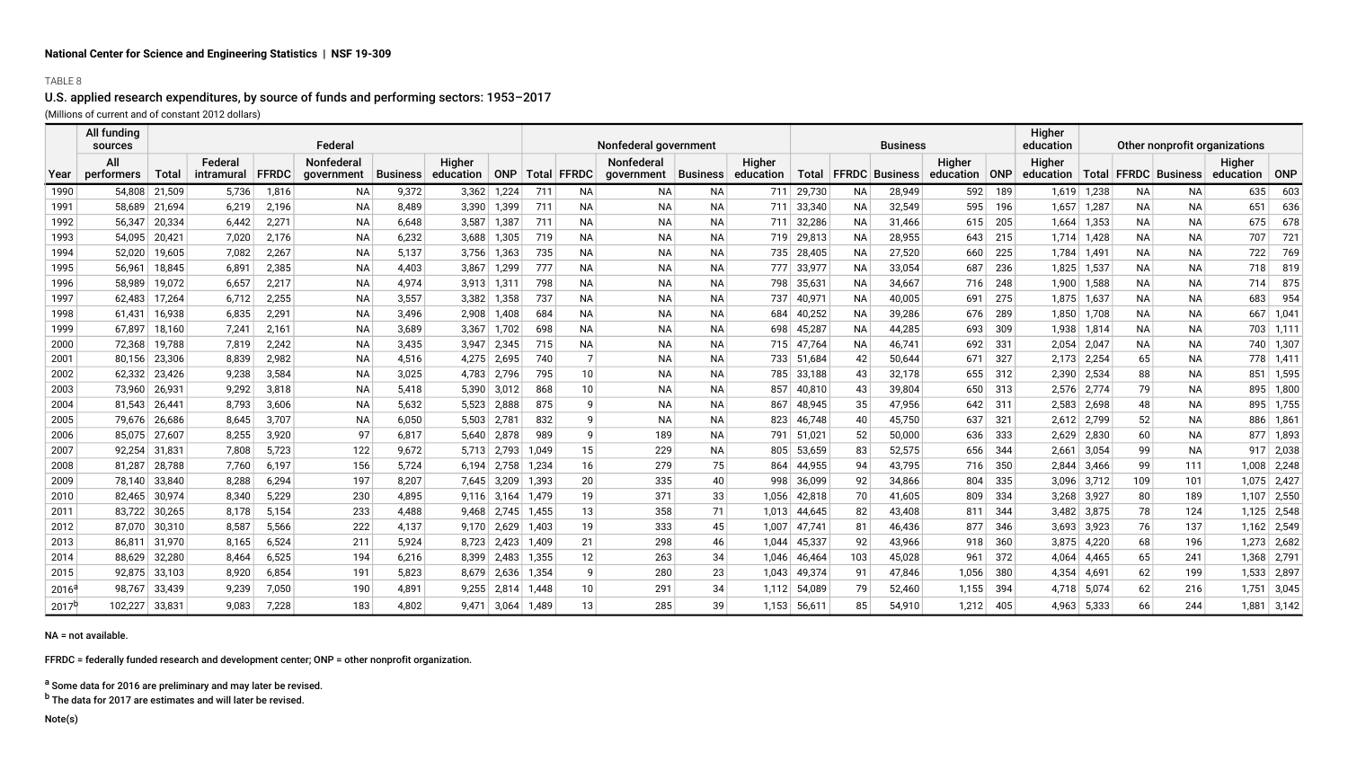## TABLE 8

## U.S. applied research expenditures, by source of funds and performing sectors: 1953–2017

(Millions of current and of constant 2012 dollars)

|                | All funding<br>sources |               |            |              | Federal    |             |                                 |             |       |                 | Nonfederal government         |           |        |        |           | <b>Business</b>          |                 |     | Higher<br>education<br>Other nonprofit organizations |               |           |           |                 |               |  |
|----------------|------------------------|---------------|------------|--------------|------------|-------------|---------------------------------|-------------|-------|-----------------|-------------------------------|-----------|--------|--------|-----------|--------------------------|-----------------|-----|------------------------------------------------------|---------------|-----------|-----------|-----------------|---------------|--|
|                | All                    |               | Federal    |              | Nonfederal |             | Higher                          |             |       |                 | <b>Nonfederal</b>             |           | Higher |        |           |                          | Higher          |     | Higher                                               |               |           |           | Higher          |               |  |
| Year           | performers             | Total         | intramural | <b>FFRDC</b> | government | ∣Business I | education   ONP   Total   FFRDC |             |       |                 | qovernment Business education |           |        |        |           | Total   FFRDC   Business | education   ONP |     | education   Total   FFRDC   Business                 |               |           |           | education   ONP |               |  |
| 1990           | 54,808                 | 21,509        | 5,736      | 1,816        | ΝA         | 9,372       | 3,362                           | 1,224       | 711   | ΝA              | ΝA                            | ΝA        | 711    | 29,730 | NA        | 28,949                   | 592             | 189 |                                                      | $1,619$ 1,238 | <b>NA</b> | NA        | 635             | 603           |  |
| 1991           | 58.689                 | 21,694        | 6,219      | 2,196        | <b>NA</b>  | 8,489       | 3,390                           | 1,399       | 711   | <b>NA</b>       | ΝA                            | <b>NA</b> | 711    | 33,340 | NA        | 32,549                   | 595             | 196 |                                                      | 1,657 1,287   | <b>NA</b> | NA.       | 651             | 636           |  |
| 1992           | 56,347                 | 20,334        | 6,442      | 2,271        | <b>NA</b>  | 6,648       | 3,587                           | 1,387       | 711   | <b>NA</b>       | <b>NA</b>                     | <b>NA</b> | 711    | 32,286 | <b>NA</b> | 31,466                   | 615             | 205 | 1,664                                                | 1,353         | <b>NA</b> | <b>NA</b> | 675             | 678           |  |
| 1993           | 54.095                 | 20,421        | 7,020      | 2,176        | <b>NA</b>  | 6,232       | 3,688                           | 1,305       | 719   | <b>NA</b>       | <b>NA</b>                     | <b>NA</b> | 719    | 29,813 | NA        | 28,955                   | 643             | 215 |                                                      | 1,714 1,428   | <b>NA</b> | NA.       | 707             | 721           |  |
| 1994           | 52,020                 | 19,605        | 7,082      | 2,267        | NА         | 5,137       | 3,756                           | 1,363       | 735   | ΝA              | ΝA                            | <b>NA</b> | 735    | 28,405 | <b>NA</b> | 27,520                   | 660             | 225 |                                                      | 1,784 1,491   | NА        | NA        | 722             | 769           |  |
| 1995           | 56.961                 | 18,845        | 6,891      | 2,385        | <b>NA</b>  | 4,403       | 3,867                           | 1,299       | 777   | <b>NA</b>       | <b>NA</b>                     | <b>NA</b> | 777    | 33,977 | <b>NA</b> | 33,054                   | 687             | 236 |                                                      | 1,825 1,537   | <b>NA</b> | <b>NA</b> | 718             | 819           |  |
| 1996           | 58.989                 | 19,072        | 6,657      | 2,217        | <b>NA</b>  | 4,974       | 3.913                           | 1,311       | 798   | <b>NA</b>       | <b>NA</b>                     | NA.       | 798    | 35,63' | <b>NA</b> | 34,667                   | 716             | 248 | 1,900                                                | 1,588         | <b>NA</b> | NA.       | 714             | 875           |  |
| 1997           | 62,483                 | 17,264        | 6,712      | 2,255        | NА         | 3,557       | 3,382                           | 1,358       | 737   | ΝA              | ΝA                            | NА        | 737    | 40,971 | NA        | 40,005                   | 691             | 275 |                                                      | 1,875 1,637   | NА        | NA        | 683             | 954           |  |
| 1998           | 61.431                 | 16,938        | 6,835      | 2,291        | <b>NA</b>  | 3,496       | 2,908                           | 1,408       | 684   | <b>NA</b>       | <b>NA</b>                     | <b>NA</b> | 684    | 40,252 | <b>NA</b> | 39,286                   | 676             | 289 | 1,850                                                | 1,708         | <b>NA</b> | <b>NA</b> | 667             | 1,041         |  |
| 1999           | 67,897                 | 18,160        | 7,241      | 2,161        | <b>NA</b>  | 3,689       | 3,367                           | 1,702       | 698   | <b>NA</b>       | <b>NA</b>                     | <b>NA</b> | 698    | 45,287 | NA        | 44,285                   | 693             | 309 |                                                      | 1,938 1,814   | <b>NA</b> | NA.       |                 | 703 1,111     |  |
| 2000           | 72,368                 | 19,788        | 7,819      | 2,242        | <b>NA</b>  | 3,435       | 3,947                           | 2,345       | 715   | NA              | ΝA                            | <b>NA</b> | 715    | 47,764 | <b>NA</b> | 46,741                   | 692             | 331 |                                                      | $2,054$ 2,047 | <b>NA</b> | NA.       |                 | 740 1,307     |  |
| 2001           | 80,156                 | 23,306        | 8,839      | 2,982        | <b>NA</b>  | 4,516       | 4,275                           | 2,695       | 740   | 7               | <b>NA</b>                     | <b>NA</b> | 733    | 51,684 | 42        | 50,644                   | 671             | 327 |                                                      | 2,173 2,254   | 65        | <b>NA</b> |                 | 778 1,411     |  |
| 2002           | 62,332                 | 23,426        | 9,238      | 3,584        | <b>NA</b>  | 3,025       | 4,783                           | 2,796       | 795   | 10              | ΝA                            | <b>NA</b> | 785    | 33,188 | 43        | 32,178                   | 655             | 312 | 2,390                                                | 2,534         | 88        | NA.       | 851             | 1,595         |  |
| 2003           | 73,960                 | 26,931        | 9,292      | 3,818        | <b>NA</b>  | 5,418       | 5,390                           | 3,012       | 868   | 10              | <b>NA</b>                     | <b>NA</b> | 857    | 40,810 | 43        | 39,804                   | 650             | 313 |                                                      | 2,576 2,774   | 79        | NA        |                 | 895 1,800     |  |
| 2004           | 81.543                 | 26,441        | 8,793      | 3,606        | <b>NA</b>  | 5,632       | 5.523                           | 2,888       | 875   | 9               | <b>NA</b>                     | <b>NA</b> | 867    | 48,945 | 35        | 47,956                   | 642             | 311 |                                                      | $2,583$ 2,698 | 48        | NA.       |                 | 895 1,755     |  |
| 2005           | 79,676                 | 26,686        | 8,645      | 3,707        | <b>NA</b>  | 6,050       | 5,503                           | 2,781       | 832   | 9               | <b>NA</b>                     | <b>NA</b> | 823    | 46,748 | 40        | 45,750                   | 637             | 321 |                                                      | 2,612 2,799   | 52        | NA.       | 886             | 1,861         |  |
| 2006           | 85.075                 | 27,607        | 8,255      | 3,920        | 97         | 6,817       |                                 | 5,640 2,878 | 989   | 9               | 189                           | <b>NA</b> | 791    | 51,021 | 52        | 50,000                   | 636             | 333 |                                                      | 2,629 2,830   | 60        | NA        |                 | 877 1,893     |  |
| 2007           | 92.254                 | 31,831        | 7,808      | 5,723        | 122        | 9,672       | 5.713                           | 2,793       | 1,049 | 15              | 229                           | <b>NA</b> | 805    | 53,659 | 83        | 52,575                   | 656             | 344 | 2,661                                                | 3,054         | 99        | <b>NA</b> |                 | $917$ 2,038   |  |
| 2008           | 81,287                 | 28,788        | 7,760      | 6,197        | 156        | 5,724       | 6,194                           | 2,758       | 1,234 | 16              | 279                           | 75        | 864    | 44,955 | 94        | 43,795                   | 716             | 350 | 2,844                                                | 3,466         | 99        | 111       | 1,008           | 2,248         |  |
| 2009           | 78.140                 | 33,840        | 8,288      | 6,294        | 197        | 8,207       |                                 | 7,645 3,209 | 1,393 | 20 <sup>2</sup> | 335                           | 40        | 998    | 36,099 | 92        | 34,866                   | 804             | 335 |                                                      | $3,096$ 3,712 | 109       | 101       |                 | 1,075 2,427   |  |
| 2010           | 82.465                 | 30,974        | 8,340      | 5,229        | 230        | 4,895       | 9.116                           | 3,164       | 1,479 | 19              | 371                           | 33        | 1,056  | 42,818 | 70        | 41,605                   | 809             | 334 |                                                      | $3,268$ 3,927 | 80        | 189       | 1.107           | 2,550         |  |
| 2011           | 83,722                 | 30,265        | 8,178      | 5,154        | 233        | 4,488       | 9,468                           | 2,745       | 1,455 | 13              | 358                           | 71        | 1.013  | 44,645 | 82        | 43,408                   | 811             | 344 |                                                      | $3,482$ 3,875 | 78        | 124       |                 | 1,125 2,548   |  |
| 2012           |                        | 87,070 30,310 | 8,587      | 5,566        | 222        | 4,137       |                                 | 9,170 2,629 | 1,403 | 19              | 333                           | 45        | 1,007  | 47,741 | 81        | 46,436                   | 877             | 346 |                                                      | $3,693$ 3,923 | 76        | 137       |                 | $1,162$ 2,549 |  |
| 2013           | 86.811                 | 31,970        | 8,165      | 6,524        | 211        | 5,924       | 8.723                           | 2.423       | 1.409 | 21              | 298                           | 46        | 1.044  | 45,337 | 92        | 43,966                   | 918             | 360 |                                                      | $3,875$ 4,220 | 68        | 196       |                 | 1,273 2,682   |  |
| 2014           | 88,629                 | 32,280        | 8,464      | 6,525        | 194        | 6,216       | 8,399                           | 2,483       | 1,355 | 12              | 263                           | 34        | 1,046  | 46,464 | 103       | 45,028                   | 961             | 372 | 4,064                                                | 4,465         | 65        | 241       | 1,368           | 2,791         |  |
| 2015           | 92.875                 | 33,103        | 8,920      | 6,854        | 191        | 5,823       |                                 | 8,679 2,636 | 1,354 | 9               | 280                           | 23        | 1,043  | 49,374 | -91       | 47,846                   | 1,056           | 380 |                                                      | 4,354 4,691   | 62        | 199       |                 | 1,533 2,897   |  |
| $2016^{\circ}$ | 98.767                 | 33,439        | 9,239      | 7,050        | 190        | 4,891       | 9,255                           | 2,814       | 1,448 | 10 <sup>1</sup> | 291                           | 34        | 1.112  | 54,089 | 79        | 52,460                   | 1,155           | 394 |                                                      | 4,718 5,074   | 62        | 216       | 1,751           | 3,045         |  |
| $2017^{h}$     | 102,227                | 33,831        | 9,083      | 7,228        | 183        | 4,802       | 9,471                           | 3,064       | 1,489 | 13              | 285                           | 39        | 1,153  | 56,611 | 85        | 54,910                   | 1,212           | 405 |                                                      | 4,963 5,333   | 66        | 244       |                 | $1,881$ 3,142 |  |

NA = not available.

FFRDC = federally funded research and development center; ONP = other nonprofit organization.

a Some data for 2016 are preliminary and may later be revised.

<sup>b</sup> The data for 2017 are estimates and will later be revised.